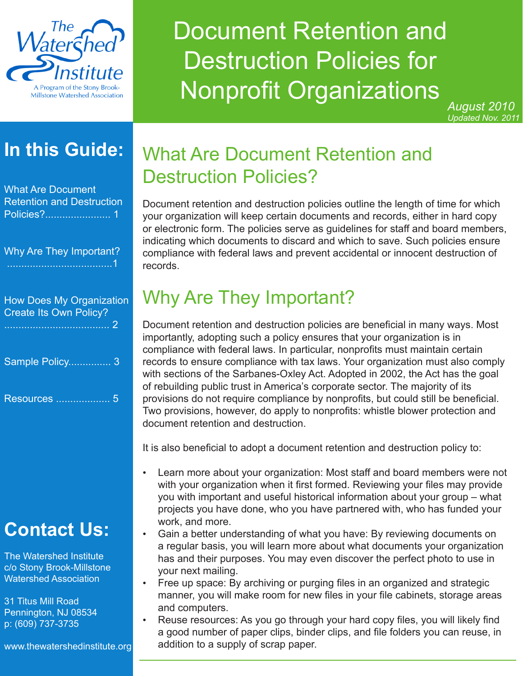

# Document Retention and Destruction Policies for Nonprofit Organizations

*August 2010 Updated Nov. 2011*

### **In this Guide:**

What Are Document Retention and Destruction Policies?....................... 1

Why Are They Important? .....................................1

| <b>How Does My Organization</b><br><b>Create Its Own Policy?</b> |  |
|------------------------------------------------------------------|--|
| Sample Policy 3                                                  |  |
| Resources<br>h                                                   |  |

# **Contact Us:**

The Watershed Institute c/o Stony Brook-Millstone Watershed Association

31 Titus Mill Road Pennington, NJ 08534 p: (609) 737-3735

www.thewatershedinstitute.org

### What Are Document Retention and Destruction Policies?

Document retention and destruction policies outline the length of time for which your organization will keep certain documents and records, either in hard copy or electronic form. The policies serve as guidelines for staff and board members, indicating which documents to discard and which to save. Such policies ensure compliance with federal laws and prevent accidental or innocent destruction of records.

# Why Are They Important?

Document retention and destruction policies are beneficial in many ways. Most importantly, adopting such a policy ensures that your organization is in compliance with federal laws. In particular, nonprofits must maintain certain records to ensure compliance with tax laws. Your organization must also comply with sections of the Sarbanes-Oxley Act. Adopted in 2002, the Act has the goal of rebuilding public trust in America's corporate sector. The majority of its provisions do not require compliance by nonprofits, but could still be beneficial. Two provisions, however, do apply to nonprofits: whistle blower protection and document retention and destruction.

It is also beneficial to adopt a document retention and destruction policy to:

- Learn more about your organization: Most staff and board members were not with your organization when it first formed. Reviewing your files may provide you with important and useful historical information about your group – what projects you have done, who you have partnered with, who has funded your work, and more.
- Gain a better understanding of what you have: By reviewing documents on a regular basis, you will learn more about what documents your organization has and their purposes. You may even discover the perfect photo to use in your next mailing.
- Free up space: By archiving or purging files in an organized and strategic manner, you will make room for new files in your file cabinets, storage areas and computers.
- Reuse resources: As you go through your hard copy files, you will likely find a good number of paper clips, binder clips, and file folders you can reuse, in addition to a supply of scrap paper.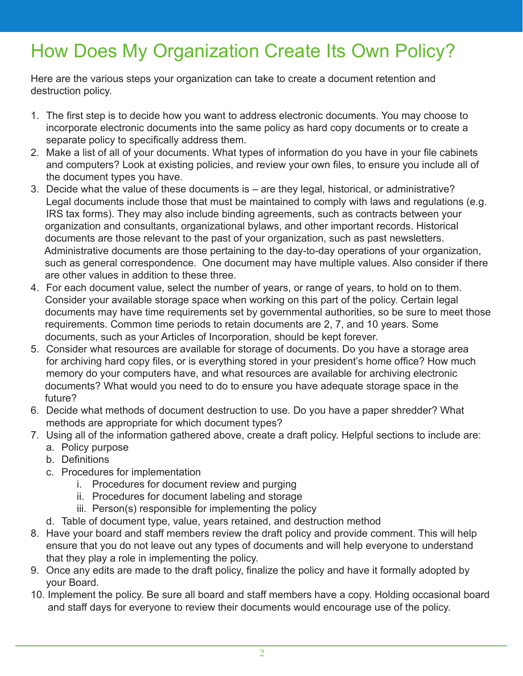# How Does My Organization Create Its Own Policy?

Here are the various steps your organization can take to create a document retention and destruction policy.

- 1. The first step is to decide how you want to address electronic documents. You may choose to incorporate electronic documents into the same policy as hard copy documents or to create a separate policy to specifically address them.
- 2. Make a list of all of your documents. What types of information do you have in your file cabinets and computers? Look at existing policies, and review your own files, to ensure you include all of the document types you have.
- 3. Decide what the value of these documents is are they legal, historical, or administrative? Legal documents include those that must be maintained to comply with laws and regulations (e.g. IRS tax forms). They may also include binding agreements, such as contracts between your organization and consultants, organizational bylaws, and other important records. Historical documents are those relevant to the past of your organization, such as past newsletters. Administrative documents are those pertaining to the day-to-day operations of your organization, such as general correspondence. One document may have multiple values. Also consider if there are other values in addition to these three.
- 4. For each document value, select the number of years, or range of years, to hold on to them. Consider your available storage space when working on this part of the policy. Certain legal documents may have time requirements set by governmental authorities, so be sure to meet those requirements. Common time periods to retain documents are 2, 7, and 10 years. Some documents, such as your Articles of Incorporation, should be kept forever.
- 5. Consider what resources are available for storage of documents. Do you have a storage area for archiving hard copy files, or is everything stored in your president's home office? How much memory do your computers have, and what resources are available for archiving electronic documents? What would you need to do to ensure you have adequate storage space in the future?
- 6. Decide what methods of document destruction to use. Do you have a paper shredder? What methods are appropriate for which document types?
- 7. Using all of the information gathered above, create a draft policy. Helpful sections to include are: a. Policy purpose
	- b. Definitions
	- c. Procedures for implementation
		- i. Procedures for document review and purging
		- ii. Procedures for document labeling and storage
		- iii. Person(s) responsible for implementing the policy
	- d. Table of document type, value, years retained, and destruction method
- 8. Have your board and staff members review the draft policy and provide comment. This will help ensure that you do not leave out any types of documents and will help everyone to understand that they play a role in implementing the policy.
- 9. Once any edits are made to the draft policy, finalize the policy and have it formally adopted by your Board.
- 10. Implement the policy. Be sure all board and staff members have a copy. Holding occasional board and staff days for everyone to review their documents would encourage use of the policy.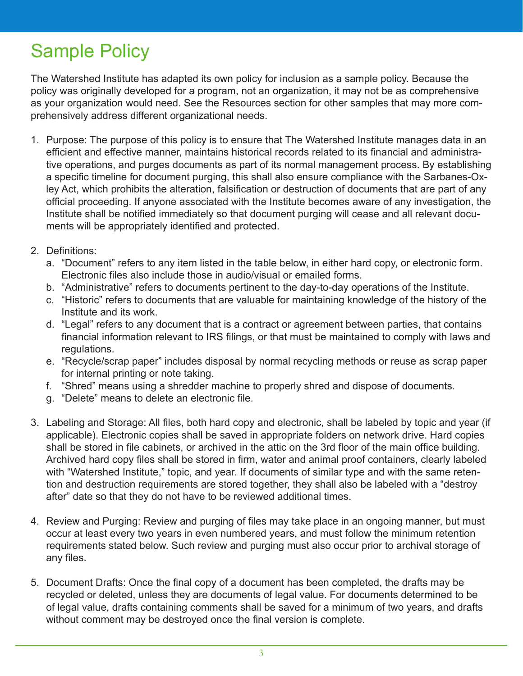## Sample Policy

The Watershed Institute has adapted its own policy for inclusion as a sample policy. Because the policy was originally developed for a program, not an organization, it may not be as comprehensive as your organization would need. See the Resources section for other samples that may more comprehensively address different organizational needs.

- 1. Purpose: The purpose of this policy is to ensure that The Watershed Institute manages data in an efficient and effective manner, maintains historical records related to its financial and administrative operations, and purges documents as part of its normal management process. By establishing a specific timeline for document purging, this shall also ensure compliance with the Sarbanes-Oxley Act, which prohibits the alteration, falsification or destruction of documents that are part of any official proceeding. If anyone associated with the Institute becomes aware of any investigation, the Institute shall be notified immediately so that document purging will cease and all relevant documents will be appropriately identified and protected.
- 2. Definitions:
	- a. "Document" refers to any item listed in the table below, in either hard copy, or electronic form. Electronic files also include those in audio/visual or emailed forms.
	- b. "Administrative" refers to documents pertinent to the day-to-day operations of the Institute.
	- c. "Historic" refers to documents that are valuable for maintaining knowledge of the history of the Institute and its work.
	- d. "Legal" refers to any document that is a contract or agreement between parties, that contains financial information relevant to IRS filings, or that must be maintained to comply with laws and regulations.
	- e. "Recycle/scrap paper" includes disposal by normal recycling methods or reuse as scrap paper for internal printing or note taking.
	- f. "Shred" means using a shredder machine to properly shred and dispose of documents.
	- g. "Delete" means to delete an electronic file.
- 3. Labeling and Storage: All files, both hard copy and electronic, shall be labeled by topic and year (if applicable). Electronic copies shall be saved in appropriate folders on network drive. Hard copies shall be stored in file cabinets, or archived in the attic on the 3rd floor of the main office building. Archived hard copy files shall be stored in firm, water and animal proof containers, clearly labeled with "Watershed Institute," topic, and year. If documents of similar type and with the same retention and destruction requirements are stored together, they shall also be labeled with a "destroy after" date so that they do not have to be reviewed additional times.
- 4. Review and Purging: Review and purging of files may take place in an ongoing manner, but must occur at least every two years in even numbered years, and must follow the minimum retention requirements stated below. Such review and purging must also occur prior to archival storage of any files.
- 5. Document Drafts: Once the final copy of a document has been completed, the drafts may be recycled or deleted, unless they are documents of legal value. For documents determined to be of legal value, drafts containing comments shall be saved for a minimum of two years, and drafts without comment may be destroyed once the final version is complete.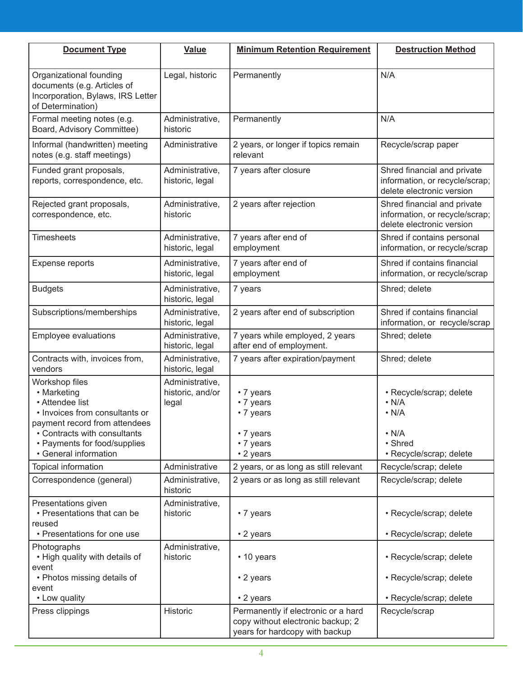| <b>Document Type</b>                                                                                                                                                                                         | Value                                        | <b>Minimum Retention Requirement</b>                                                                       | <b>Destruction Method</b>                                                                                  |
|--------------------------------------------------------------------------------------------------------------------------------------------------------------------------------------------------------------|----------------------------------------------|------------------------------------------------------------------------------------------------------------|------------------------------------------------------------------------------------------------------------|
| Organizational founding<br>documents (e.g. Articles of<br>Incorporation, Bylaws, IRS Letter<br>of Determination)                                                                                             | Legal, historic                              | Permanently                                                                                                | N/A                                                                                                        |
| Formal meeting notes (e.g.<br>Board, Advisory Committee)                                                                                                                                                     | Administrative,<br>historic                  | Permanently                                                                                                | N/A                                                                                                        |
| Informal (handwritten) meeting<br>notes (e.g. staff meetings)                                                                                                                                                | Administrative                               | 2 years, or longer if topics remain<br>relevant                                                            | Recycle/scrap paper                                                                                        |
| Funded grant proposals,<br>reports, correspondence, etc.                                                                                                                                                     | Administrative,<br>historic, legal           | 7 years after closure                                                                                      | Shred financial and private<br>information, or recycle/scrap;<br>delete electronic version                 |
| Rejected grant proposals,<br>correspondence, etc.                                                                                                                                                            | Administrative,<br>historic                  | 2 years after rejection                                                                                    | Shred financial and private<br>information, or recycle/scrap;<br>delete electronic version                 |
| <b>Timesheets</b>                                                                                                                                                                                            | Administrative,<br>historic, legal           | 7 years after end of<br>employment                                                                         | Shred if contains personal<br>information, or recycle/scrap                                                |
| <b>Expense reports</b>                                                                                                                                                                                       | Administrative,<br>historic, legal           | 7 years after end of<br>employment                                                                         | Shred if contains financial<br>information, or recycle/scrap                                               |
| <b>Budgets</b>                                                                                                                                                                                               | Administrative,<br>historic, legal           | 7 years                                                                                                    | Shred; delete                                                                                              |
| Subscriptions/memberships                                                                                                                                                                                    | Administrative,<br>historic, legal           | 2 years after end of subscription                                                                          | Shred if contains financial<br>information, or recycle/scrap                                               |
| Employee evaluations                                                                                                                                                                                         | Administrative,<br>historic, legal           | 7 years while employed, 2 years<br>after end of employment.                                                | Shred; delete                                                                                              |
| Contracts with, invoices from,<br>vendors                                                                                                                                                                    | Administrative,<br>historic, legal           | 7 years after expiration/payment                                                                           | Shred; delete                                                                                              |
| Workshop files<br>• Marketing<br>• Attendee list<br>• Invoices from consultants or<br>payment record from attendees<br>• Contracts with consultants<br>• Payments for food/supplies<br>• General information | Administrative,<br>historic, and/or<br>legal | • 7 years<br>• 7 years<br>• 7 years<br>• 7 years<br>• 7 years<br>• 2 years                                 | · Recycle/scrap; delete<br>$\cdot$ N/A<br>$\cdot$ N/A<br>$\cdot$ N/A<br>• Shred<br>· Recycle/scrap; delete |
| Topical information                                                                                                                                                                                          | Administrative                               | 2 years, or as long as still relevant                                                                      | Recycle/scrap; delete                                                                                      |
| Correspondence (general)                                                                                                                                                                                     | Administrative,<br>historic                  | 2 years or as long as still relevant                                                                       | Recycle/scrap; delete                                                                                      |
| Presentations given<br>• Presentations that can be<br>reused<br>• Presentations for one use                                                                                                                  | Administrative,<br>historic                  | • 7 years                                                                                                  | · Recycle/scrap; delete                                                                                    |
|                                                                                                                                                                                                              |                                              | • 2 years                                                                                                  | · Recycle/scrap; delete                                                                                    |
| Photographs<br>• High quality with details of<br>event                                                                                                                                                       | Administrative,<br>historic                  | • 10 years                                                                                                 | · Recycle/scrap; delete                                                                                    |
| • Photos missing details of<br>event                                                                                                                                                                         |                                              | • 2 years                                                                                                  | · Recycle/scrap; delete                                                                                    |
| • Low quality                                                                                                                                                                                                |                                              | • 2 years                                                                                                  | · Recycle/scrap; delete                                                                                    |
| Press clippings                                                                                                                                                                                              | Historic                                     | Permanently if electronic or a hard<br>copy without electronic backup; 2<br>years for hardcopy with backup | Recycle/scrap                                                                                              |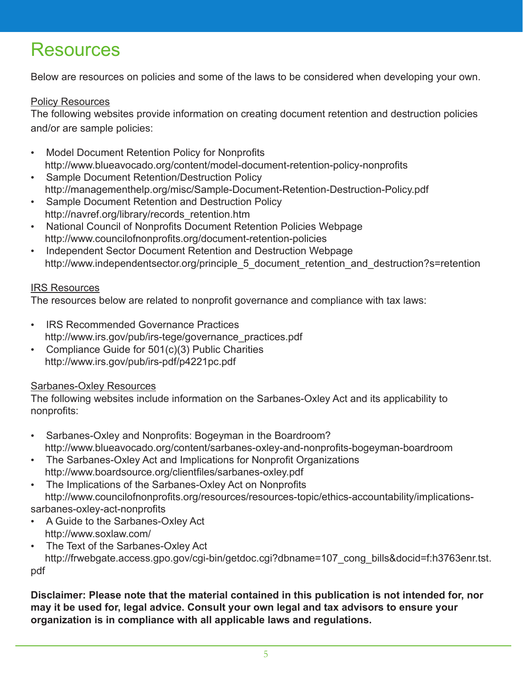### **Resources**

Below are resources on policies and some of the laws to be considered when developing your own.

#### Policy Resources

The following websites provide information on creating document retention and destruction policies and/or are sample policies:

- **Model Document Retention Policy for Nonprofits** http://www.blueavocado.org/content/model-document-retention-policy-nonprofits
- Sample Document Retention/Destruction Policy http://managementhelp.org/misc/Sample-Document-Retention-Destruction-Policy.pdf
- Sample Document Retention and Destruction Policy http://navref.org/library/records\_retention.htm
- National Council of Nonprofits Document Retention Policies Webpage http://www.councilofnonprofits.org/document-retention-policies
- Independent Sector Document Retention and Destruction Webpage http://www.independentsector.org/principle\_5\_document\_retention\_and\_destruction?s=retention

#### IRS Resources

The resources below are related to nonprofit governance and compliance with tax laws:

- IRS Recommended Governance Practices http://www.irs.gov/pub/irs-tege/governance\_practices.pdf
- Compliance Guide for 501(c)(3) Public Charities http://www.irs.gov/pub/irs-pdf/p4221pc.pdf

#### Sarbanes-Oxley Resources

The following websites include information on the Sarbanes-Oxley Act and its applicability to nonprofits:

- Sarbanes-Oxley and Nonprofits: Bogeyman in the Boardroom? http://www.blueavocado.org/content/sarbanes-oxley-and-nonprofits-bogeyman-boardroom
- The Sarbanes-Oxley Act and Implications for Nonprofit Organizations http://www.boardsource.org/clientfiles/sarbanes-oxley.pdf
- The Implications of the Sarbanes-Oxley Act on Nonprofits http://www.councilofnonprofits.org/resources/resources-topic/ethics-accountability/implicationssarbanes-oxley-act-nonprofits
- A Guide to the Sarbanes-Oxley Act http://www.soxlaw.com/
- The Text of the Sarbanes-Oxley Act http://frwebgate.access.gpo.gov/cgi-bin/getdoc.cgi?dbname=107\_cong\_bills&docid=f:h3763enr.tst. pdf

**Disclaimer: Please note that the material contained in this publication is not intended for, nor may it be used for, legal advice. Consult your own legal and tax advisors to ensure your organization is in compliance with all applicable laws and regulations.**